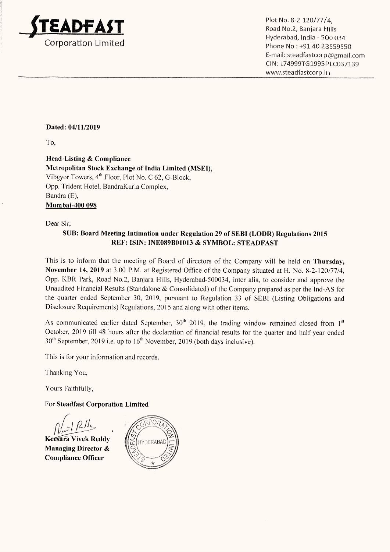

E-mail: steadfastcorp @gmail.com CIN: L74999TG1995PLC037139 Plot No. 8-2 120/77/4,<br>
Plot No. 8-2 120/77/4,<br>
Road No.2, Banjara Hills<br>
Corporation Limited<br>
Corporation Limited<br>
Corporation Limited<br>
Corporation Limited<br>
Corporation Limited<br>
Corporation Limited<br>
Corporation Limited<br>
C www.steadfastcorp.in

## Dated: 04/11/2019

To,

Head-Listing & Compliance Metropolitan Stock Exchange of India Limited (MSEI), Vibgyor Towers, 4" Floor, Plot No. C 62, G-Block, Opp. Trident Hotel, BandraKurla Complex, Bandra(E), Mumbai-400 098

Dear Sir,

## SUB: Board Meeting Intimation under Regulation 29 of SEBI (LODR) Regulations 2015 REF: ISIN: INE089B01013 & SYMBOL: STEADFAST

This is to inform that the meeting of Board of directors of the Company will be held on Thursday, November14, 2019 at 3.00 P.M. at Registered Office of the Companysituated at H. No. 8-2-120/77/4, Opp. KBR Park, Road No.2, Banjara Hills, Hyderabad-500034, inter alia, to consider and approve the Unaudited Financial Results (Standalone & Consolidated) of the Company prepared as per the Ind-AS for the quarter ended September 30, 2019, pursuant to Regulation 33 of SEBI (Listing Obligations and Disclosure Requirements) Regulations, 2015 and along with other items.

As communicated earlier dated September,  $30<sup>th</sup>$  2019, the trading window remained closed from  $1<sup>st</sup>$ October, 2019 till 48 hours after the declaration of financial results for the quarter and half year ended 30" September, 2019 i.e. up to 16™ November, 2019 (both days inclusive).

This is for your information and records.

Thanking You,

Yours Faithfully,

For Steadfast Corporation Limited

 $N_{\rm ext}$   $\Omega l l$ 

Keesara Vivek Reddy Managing Director & Compliance Officer